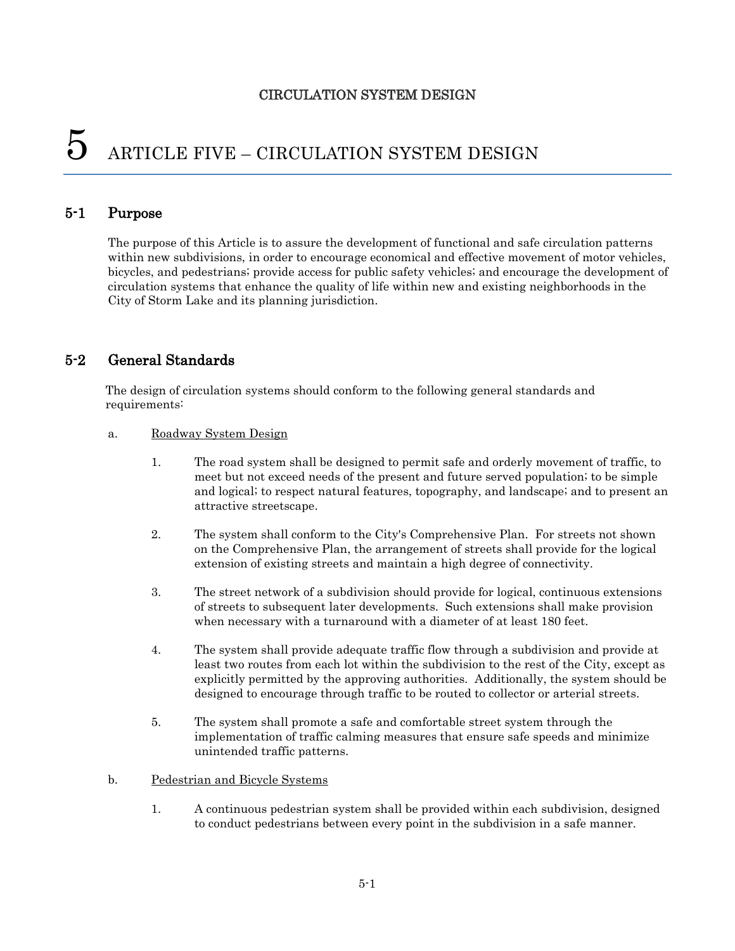# $5$  ARTICLE FIVE – CIRCULATION SYSTEM DESIGN

#### 5-1 Purpose

The purpose of this Article is to assure the development of functional and safe circulation patterns within new subdivisions, in order to encourage economical and effective movement of motor vehicles, bicycles, and pedestrians; provide access for public safety vehicles; and encourage the development of circulation systems that enhance the quality of life within new and existing neighborhoods in the City of Storm Lake and its planning jurisdiction.

## 5-2 General Standards

The design of circulation systems should conform to the following general standards and requirements:

#### a. Roadway System Design

- 1. The road system shall be designed to permit safe and orderly movement of traffic, to meet but not exceed needs of the present and future served population; to be simple and logical; to respect natural features, topography, and landscape; and to present an attractive streetscape.
- 2. The system shall conform to the City's Comprehensive Plan. For streets not shown on the Comprehensive Plan, the arrangement of streets shall provide for the logical extension of existing streets and maintain a high degree of connectivity.
- 3. The street network of a subdivision should provide for logical, continuous extensions of streets to subsequent later developments. Such extensions shall make provision when necessary with a turnaround with a diameter of at least 180 feet.
- 4. The system shall provide adequate traffic flow through a subdivision and provide at least two routes from each lot within the subdivision to the rest of the City, except as explicitly permitted by the approving authorities. Additionally, the system should be designed to encourage through traffic to be routed to collector or arterial streets.
- 5. The system shall promote a safe and comfortable street system through the implementation of traffic calming measures that ensure safe speeds and minimize unintended traffic patterns.
- b. Pedestrian and Bicycle Systems
	- 1. A continuous pedestrian system shall be provided within each subdivision, designed to conduct pedestrians between every point in the subdivision in a safe manner.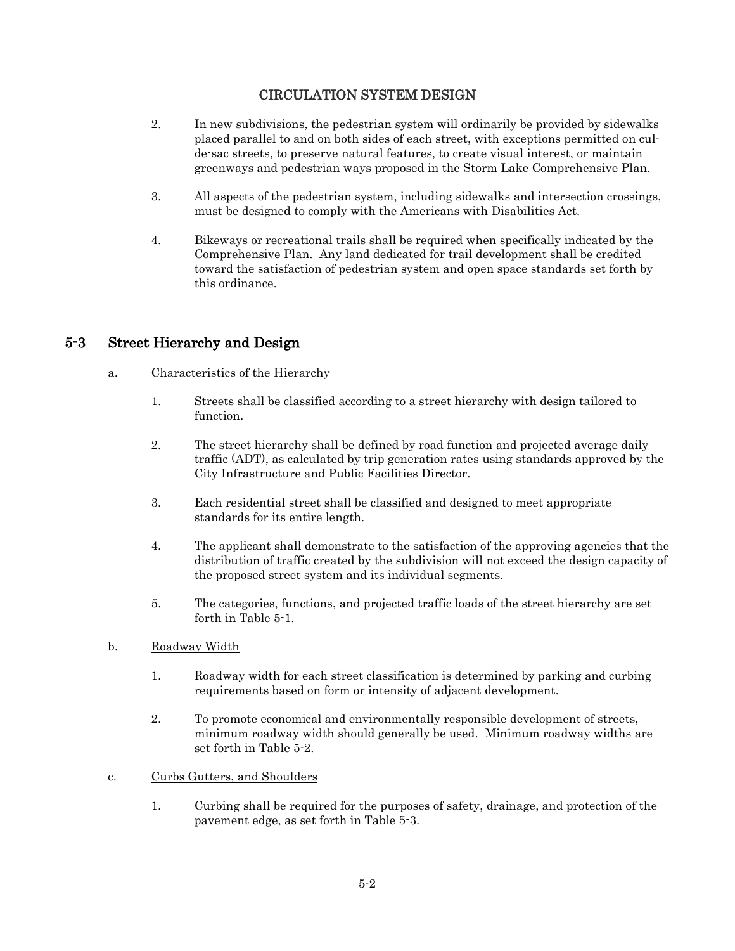- 2. In new subdivisions, the pedestrian system will ordinarily be provided by sidewalks placed parallel to and on both sides of each street, with exceptions permitted on culde-sac streets, to preserve natural features, to create visual interest, or maintain greenways and pedestrian ways proposed in the Storm Lake Comprehensive Plan.
- 3. All aspects of the pedestrian system, including sidewalks and intersection crossings, must be designed to comply with the Americans with Disabilities Act.
- 4. Bikeways or recreational trails shall be required when specifically indicated by the Comprehensive Plan. Any land dedicated for trail development shall be credited toward the satisfaction of pedestrian system and open space standards set forth by this ordinance.

## 5-3 Street Hierarchy and Design

#### a. Characteristics of the Hierarchy

- 1. Streets shall be classified according to a street hierarchy with design tailored to function.
- 2. The street hierarchy shall be defined by road function and projected average daily traffic (ADT), as calculated by trip generation rates using standards approved by the City Infrastructure and Public Facilities Director.
- 3. Each residential street shall be classified and designed to meet appropriate standards for its entire length.
- 4. The applicant shall demonstrate to the satisfaction of the approving agencies that the distribution of traffic created by the subdivision will not exceed the design capacity of the proposed street system and its individual segments.
- 5. The categories, functions, and projected traffic loads of the street hierarchy are set forth in Table 5-1.
- b. Roadway Width
	- 1. Roadway width for each street classification is determined by parking and curbing requirements based on form or intensity of adjacent development.
	- 2. To promote economical and environmentally responsible development of streets, minimum roadway width should generally be used. Minimum roadway widths are set forth in Table 5-2.
- c. Curbs Gutters, and Shoulders
	- 1. Curbing shall be required for the purposes of safety, drainage, and protection of the pavement edge, as set forth in Table 5-3.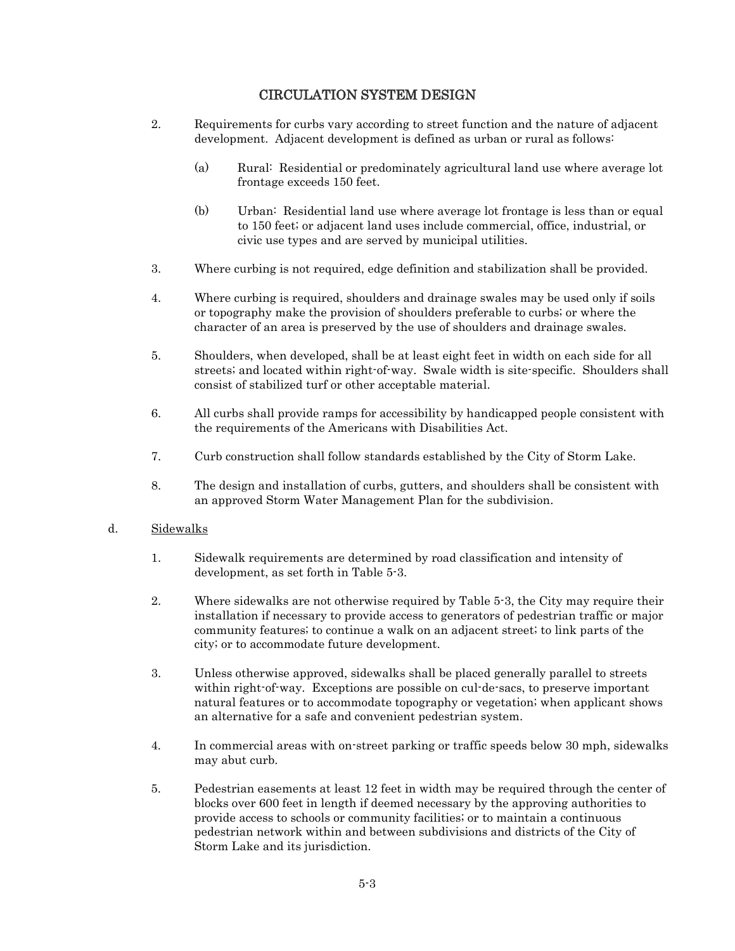- 2. Requirements for curbs vary according to street function and the nature of adjacent development. Adjacent development is defined as urban or rural as follows:
	- (a) Rural: Residential or predominately agricultural land use where average lot frontage exceeds 150 feet.
	- (b) Urban: Residential land use where average lot frontage is less than or equal to 150 feet; or adjacent land uses include commercial, office, industrial, or civic use types and are served by municipal utilities.
- 3. Where curbing is not required, edge definition and stabilization shall be provided.
- 4. Where curbing is required, shoulders and drainage swales may be used only if soils or topography make the provision of shoulders preferable to curbs; or where the character of an area is preserved by the use of shoulders and drainage swales.
- 5. Shoulders, when developed, shall be at least eight feet in width on each side for all streets; and located within right-of-way. Swale width is site-specific. Shoulders shall consist of stabilized turf or other acceptable material.
- 6. All curbs shall provide ramps for accessibility by handicapped people consistent with the requirements of the Americans with Disabilities Act.
- 7. Curb construction shall follow standards established by the City of Storm Lake.
- 8. The design and installation of curbs, gutters, and shoulders shall be consistent with an approved Storm Water Management Plan for the subdivision.

#### d. Sidewalks

- 1. Sidewalk requirements are determined by road classification and intensity of development, as set forth in Table 5-3.
- 2. Where sidewalks are not otherwise required by Table 5-3, the City may require their installation if necessary to provide access to generators of pedestrian traffic or major community features; to continue a walk on an adjacent street; to link parts of the city; or to accommodate future development.
- 3. Unless otherwise approved, sidewalks shall be placed generally parallel to streets within right-of-way. Exceptions are possible on cul-de-sacs, to preserve important natural features or to accommodate topography or vegetation; when applicant shows an alternative for a safe and convenient pedestrian system.
- 4. In commercial areas with on-street parking or traffic speeds below 30 mph, sidewalks may abut curb.
- 5. Pedestrian easements at least 12 feet in width may be required through the center of blocks over 600 feet in length if deemed necessary by the approving authorities to provide access to schools or community facilities; or to maintain a continuous pedestrian network within and between subdivisions and districts of the City of Storm Lake and its jurisdiction.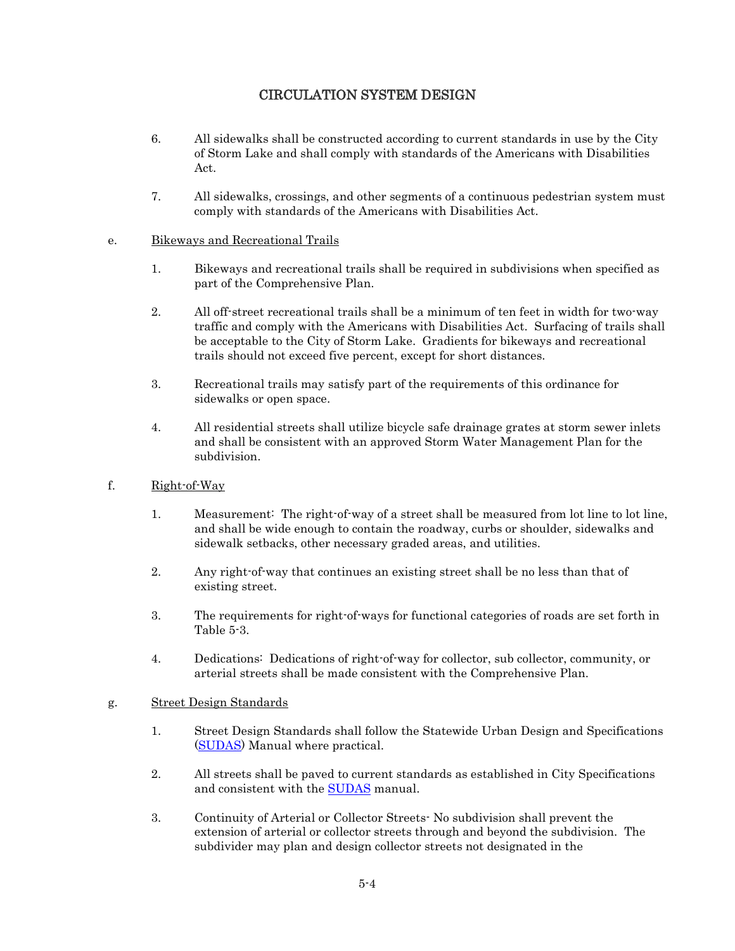- 6. All sidewalks shall be constructed according to current standards in use by the City of Storm Lake and shall comply with standards of the Americans with Disabilities Act.
- 7. All sidewalks, crossings, and other segments of a continuous pedestrian system must comply with standards of the Americans with Disabilities Act.

#### e. Bikeways and Recreational Trails

- 1. Bikeways and recreational trails shall be required in subdivisions when specified as part of the Comprehensive Plan.
- 2. All off-street recreational trails shall be a minimum of ten feet in width for two-way traffic and comply with the Americans with Disabilities Act. Surfacing of trails shall be acceptable to the City of Storm Lake. Gradients for bikeways and recreational trails should not exceed five percent, except for short distances.
- 3. Recreational trails may satisfy part of the requirements of this ordinance for sidewalks or open space.
- 4. All residential streets shall utilize bicycle safe drainage grates at storm sewer inlets and shall be consistent with an approved Storm Water Management Plan for the subdivision.
- f. Right-of-Way
	- 1. Measurement: The right-of-way of a street shall be measured from lot line to lot line, and shall be wide enough to contain the roadway, curbs or shoulder, sidewalks and sidewalk setbacks, other necessary graded areas, and utilities.
	- 2. Any right-of-way that continues an existing street shall be no less than that of existing street.
	- 3. The requirements for right-of-ways for functional categories of roads are set forth in Table 5-3.
	- 4. Dedications: Dedications of right-of-way for collector, sub collector, community, or arterial streets shall be made consistent with the Comprehensive Plan.

#### g. Street Design Standards

- 1. Street Design Standards shall follow the Statewide Urban Design and Specifications [\(SUDAS\)](http://www.iowasudas.org/) Manual where practical.
- 2. All streets shall be paved to current standards as established in City Specifications and consistent with the [SUDAS](http://www.iowasudas.org/) manual.
- 3. Continuity of Arterial or Collector Streets- No subdivision shall prevent the extension of arterial or collector streets through and beyond the subdivision. The subdivider may plan and design collector streets not designated in the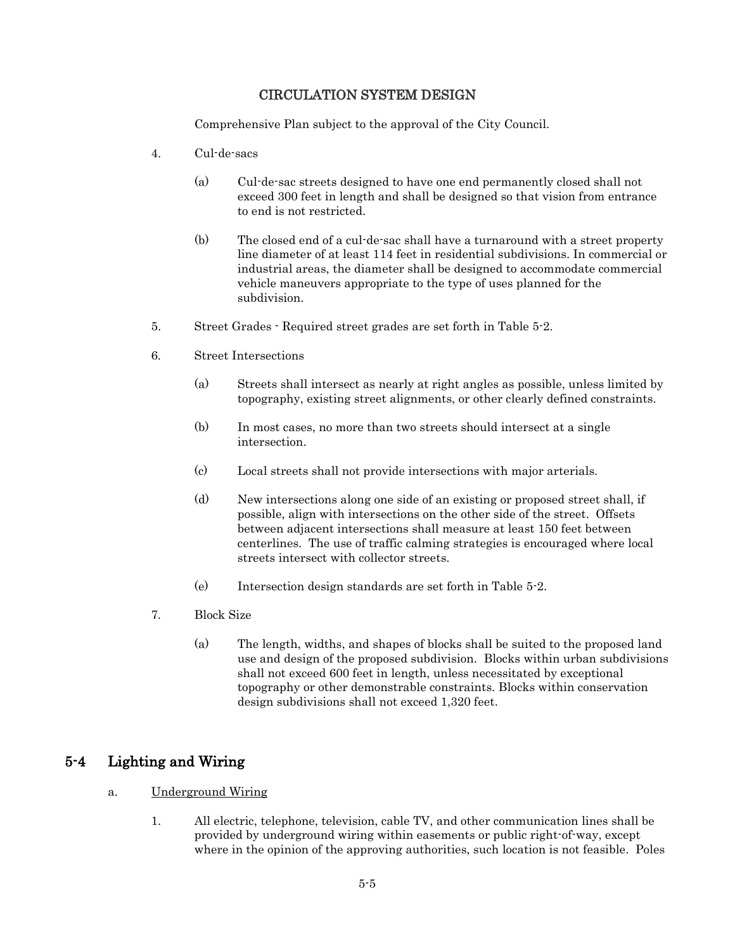Comprehensive Plan subject to the approval of the City Council.

- 4. Cul-de-sacs
	- (a) Cul-de-sac streets designed to have one end permanently closed shall not exceed 300 feet in length and shall be designed so that vision from entrance to end is not restricted.
	- (b) The closed end of a cul-de-sac shall have a turnaround with a street property line diameter of at least 114 feet in residential subdivisions. In commercial or industrial areas, the diameter shall be designed to accommodate commercial vehicle maneuvers appropriate to the type of uses planned for the subdivision.
- 5. Street Grades Required street grades are set forth in Table 5-2.
- 6. Street Intersections
	- (a) Streets shall intersect as nearly at right angles as possible, unless limited by topography, existing street alignments, or other clearly defined constraints.
	- (b) In most cases, no more than two streets should intersect at a single intersection.
	- (c) Local streets shall not provide intersections with major arterials.
	- (d) New intersections along one side of an existing or proposed street shall, if possible, align with intersections on the other side of the street. Offsets between adjacent intersections shall measure at least 150 feet between centerlines. The use of traffic calming strategies is encouraged where local streets intersect with collector streets.
	- (e) Intersection design standards are set forth in Table 5-2.
- 7. Block Size
	- (a) The length, widths, and shapes of blocks shall be suited to the proposed land use and design of the proposed subdivision. Blocks within urban subdivisions shall not exceed 600 feet in length, unless necessitated by exceptional topography or other demonstrable constraints. Blocks within conservation design subdivisions shall not exceed 1,320 feet.

#### 5-4 Lighting and Wiring

- a. Underground Wiring
	- 1. All electric, telephone, television, cable TV, and other communication lines shall be provided by underground wiring within easements or public right-of-way, except where in the opinion of the approving authorities, such location is not feasible. Poles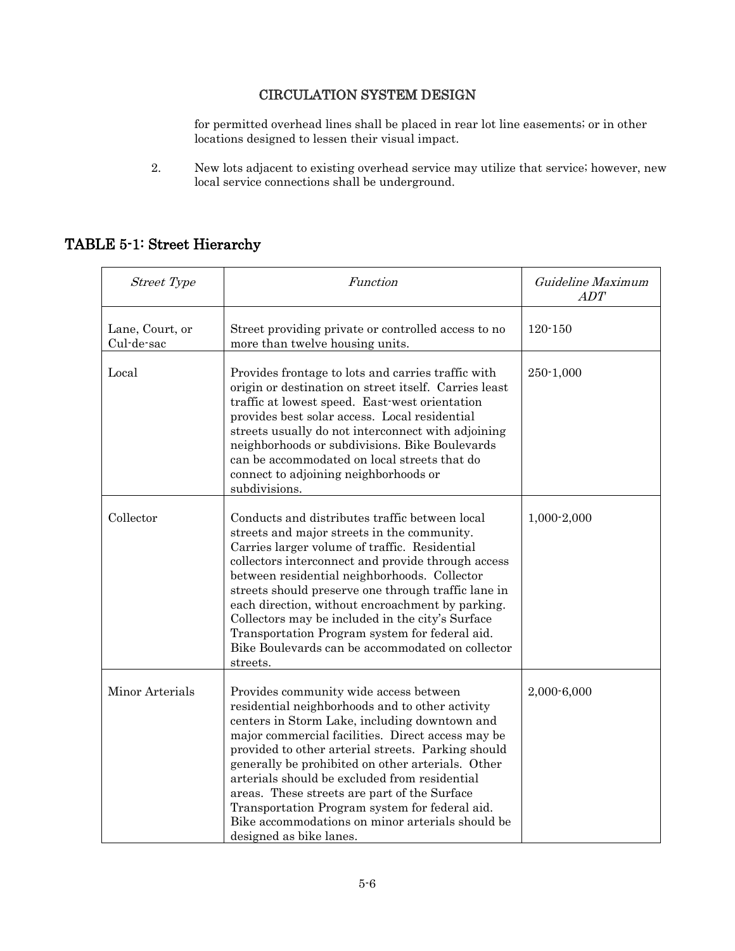for permitted overhead lines shall be placed in rear lot line easements; or in other locations designed to lessen their visual impact.

2. New lots adjacent to existing overhead service may utilize that service; however, new local service connections shall be underground.

# TABLE 5-1: Street Hierarchy

| <b>Street Type</b>            | Function                                                                                                                                                                                                                                                                                                                                                                                                                                                                                                                                     | Guideline Maximum<br><b>ADT</b> |
|-------------------------------|----------------------------------------------------------------------------------------------------------------------------------------------------------------------------------------------------------------------------------------------------------------------------------------------------------------------------------------------------------------------------------------------------------------------------------------------------------------------------------------------------------------------------------------------|---------------------------------|
| Lane, Court, or<br>Cul-de-sac | Street providing private or controlled access to no<br>more than twelve housing units.                                                                                                                                                                                                                                                                                                                                                                                                                                                       | $120 - 150$                     |
| Local                         | Provides frontage to lots and carries traffic with<br>origin or destination on street itself. Carries least<br>traffic at lowest speed. East-west orientation<br>provides best solar access. Local residential<br>streets usually do not interconnect with adjoining<br>neighborhoods or subdivisions. Bike Boulevards<br>can be accommodated on local streets that do<br>connect to adjoining neighborhoods or<br>subdivisions.                                                                                                             | 250-1,000                       |
| Collector                     | Conducts and distributes traffic between local<br>streets and major streets in the community.<br>Carries larger volume of traffic. Residential<br>collectors interconnect and provide through access<br>between residential neighborhoods. Collector<br>streets should preserve one through traffic lane in<br>each direction, without encroachment by parking.<br>Collectors may be included in the city's Surface<br>Transportation Program system for federal aid.<br>Bike Boulevards can be accommodated on collector<br>streets.        | 1,000-2,000                     |
| Minor Arterials               | Provides community wide access between<br>residential neighborhoods and to other activity<br>centers in Storm Lake, including downtown and<br>major commercial facilities. Direct access may be<br>provided to other arterial streets. Parking should<br>generally be prohibited on other arterials. Other<br>arterials should be excluded from residential<br>areas. These streets are part of the Surface<br>Transportation Program system for federal aid.<br>Bike accommodations on minor arterials should be<br>designed as bike lanes. | 2,000-6,000                     |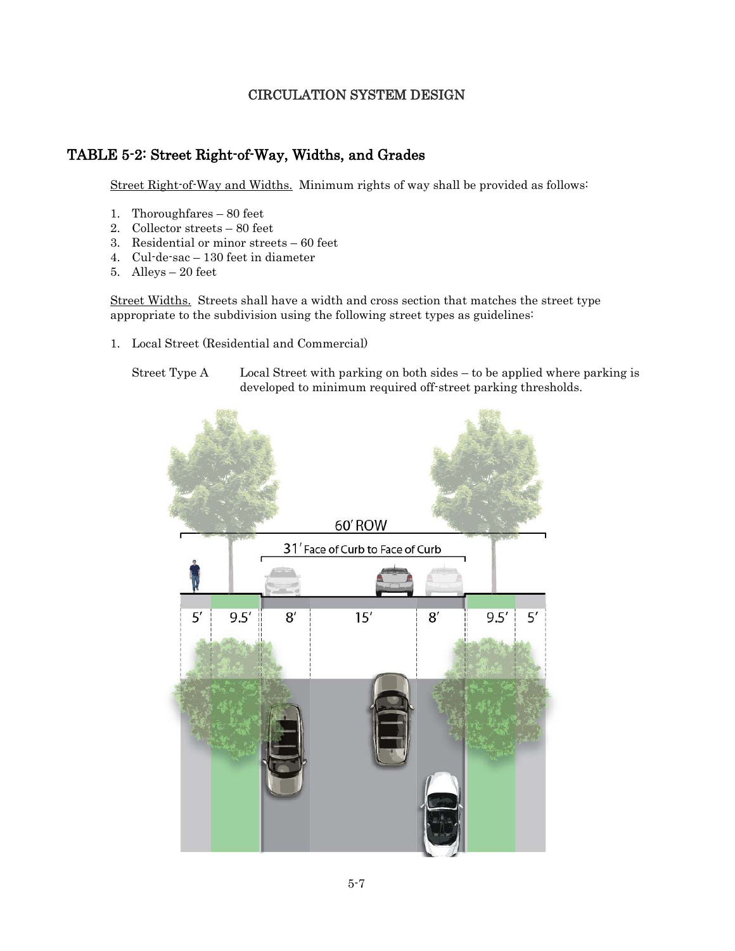## TABLE 5-2: Street Right-of-Way, Widths, and Grades

Street Right-of-Way and Widths. Minimum rights of way shall be provided as follows:

- 1. Thoroughfares 80 feet
- 2. Collector streets 80 feet
- 3. Residential or minor streets 60 feet
- 4. Cul-de-sac 130 feet in diameter
- 5. Alleys 20 feet

Street Widths. Streets shall have a width and cross section that matches the street type appropriate to the subdivision using the following street types as guidelines:

- 1. Local Street (Residential and Commercial)
	- Street Type A Local Street with parking on both sides to be applied where parking is developed to minimum required off-street parking thresholds.

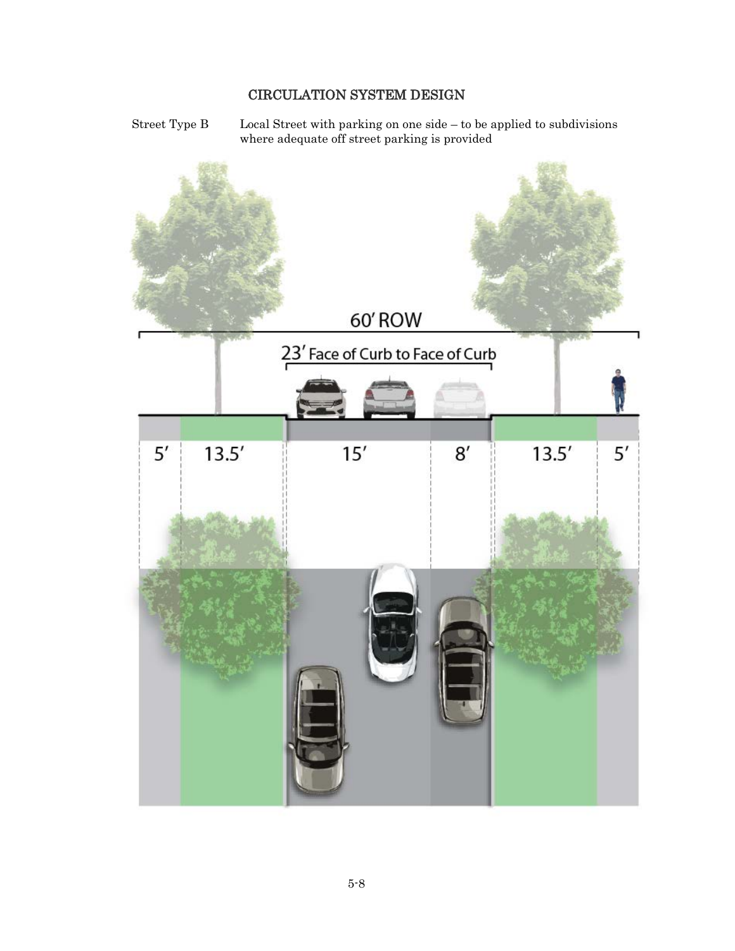Street Type B Local Street with parking on one side – to be applied to subdivisions where adequate off street parking is provided

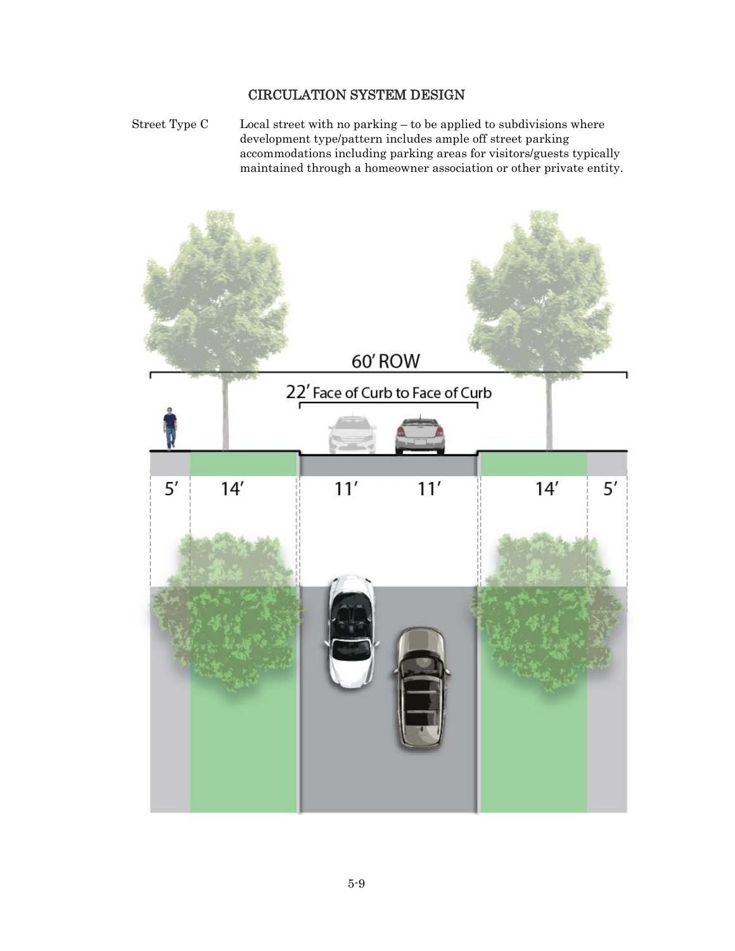Street Type C Local street with no parking – to be applied to subdivisions where development type/pattern includes ample off street parking accommodations including parking areas for visitors/guests typically maintained through a homeowner association or other private entity.

![](_page_8_Picture_2.jpeg)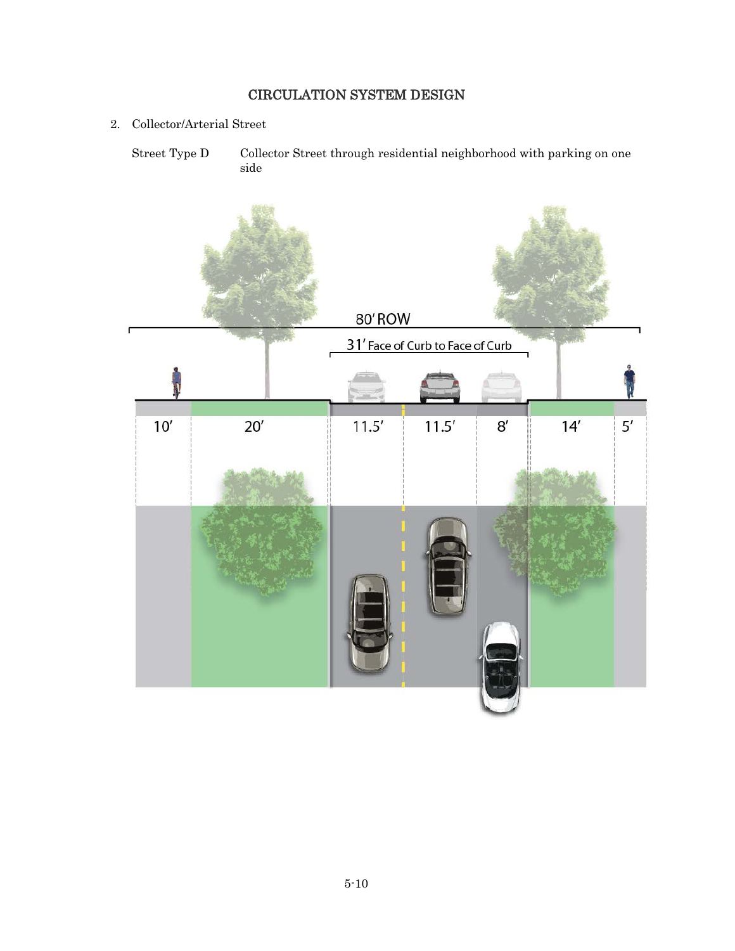2. Collector/Arterial Street

Street Type D Collector Street through residential neighborhood with parking on one side

![](_page_9_Picture_3.jpeg)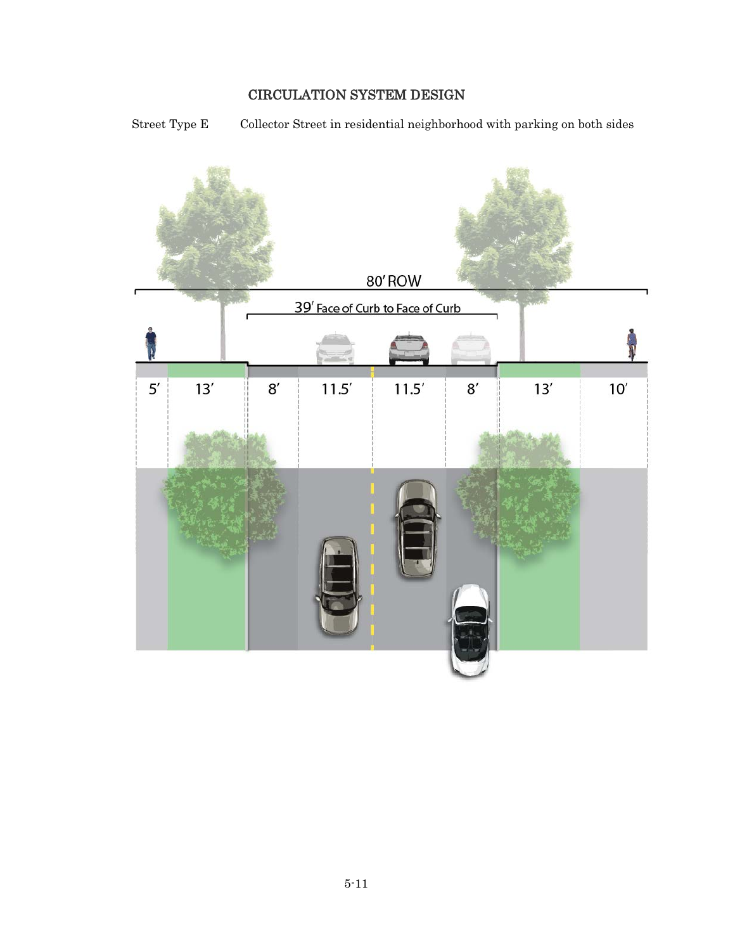Street Type E Collector Street in residential neighborhood with parking on both sides

![](_page_10_Figure_2.jpeg)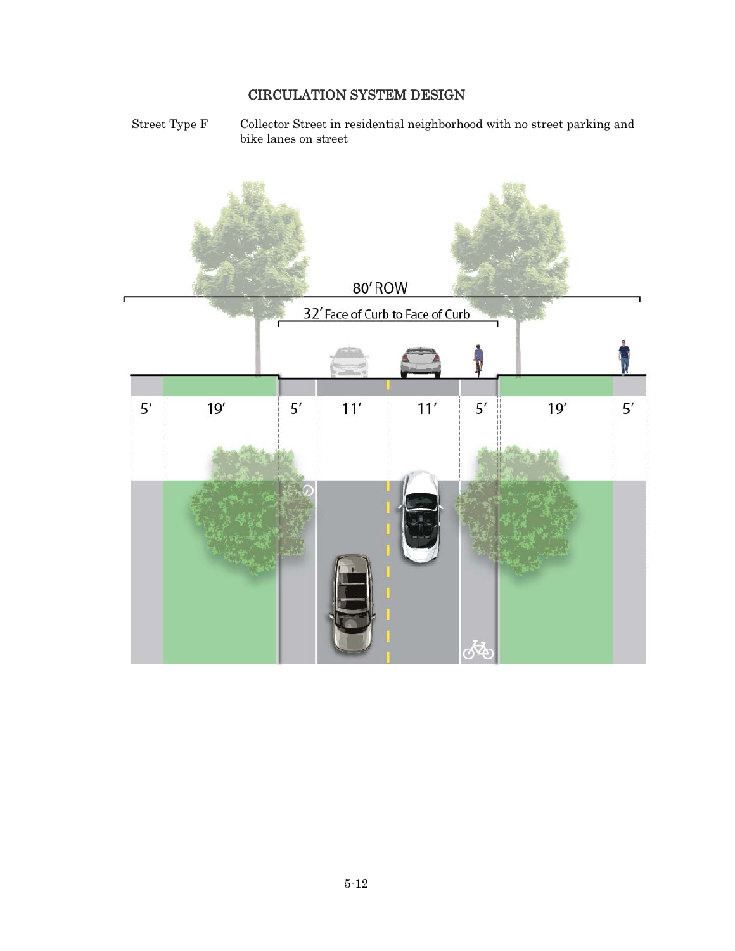Street Type F Collector Street in residential neighborhood with no street parking and bike lanes on street

![](_page_11_Figure_2.jpeg)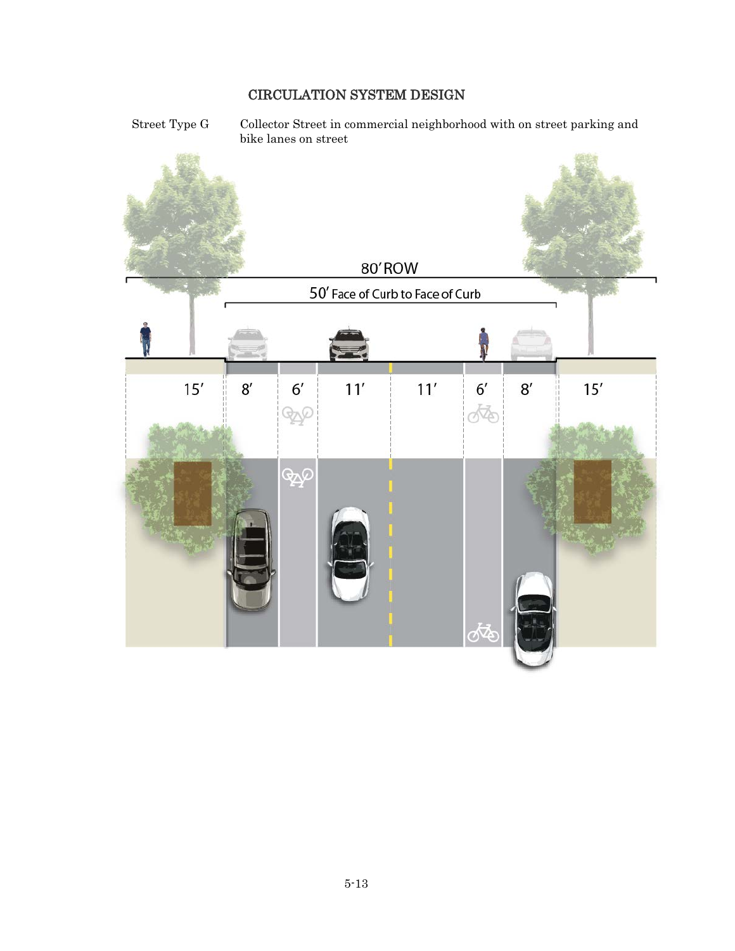Street Type G Collector Street in commercial neighborhood with on street parking and bike lanes on street

![](_page_12_Picture_2.jpeg)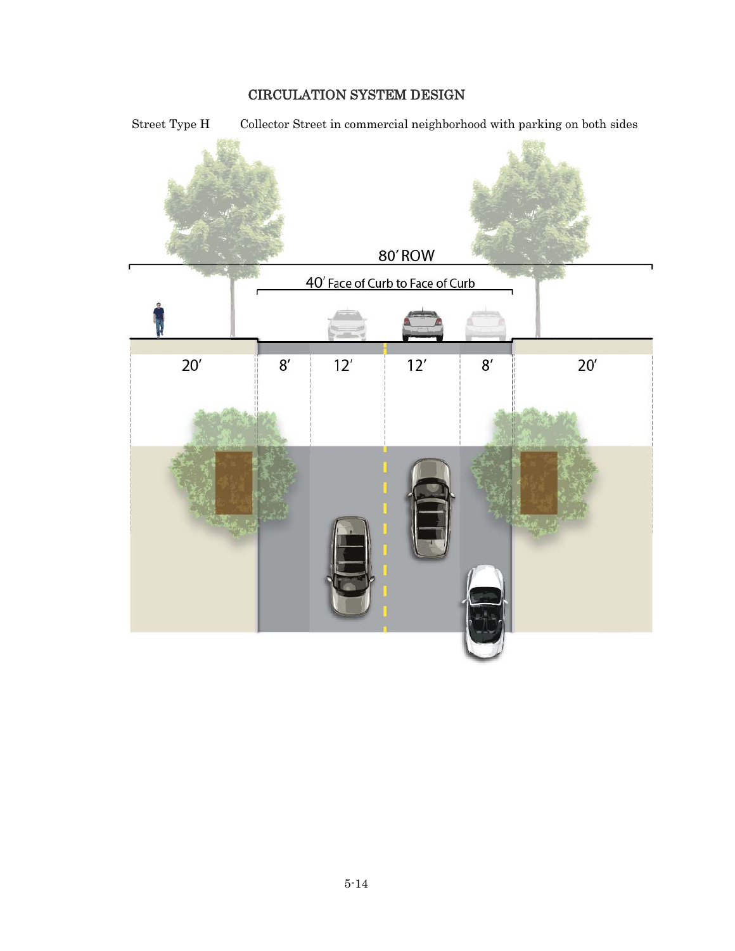![](_page_13_Figure_1.jpeg)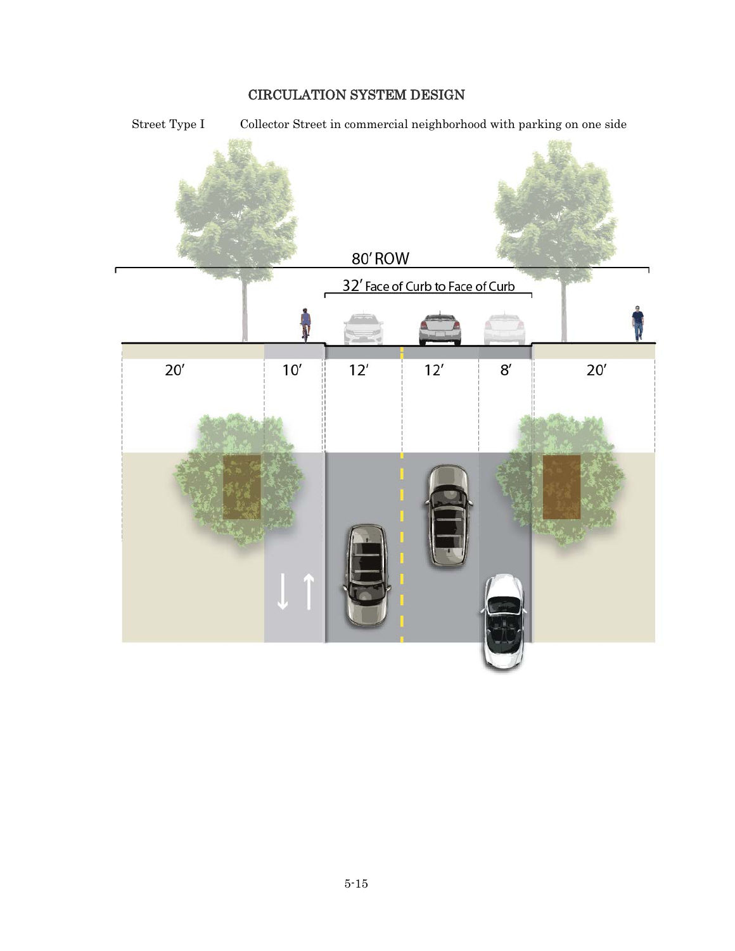![](_page_14_Figure_1.jpeg)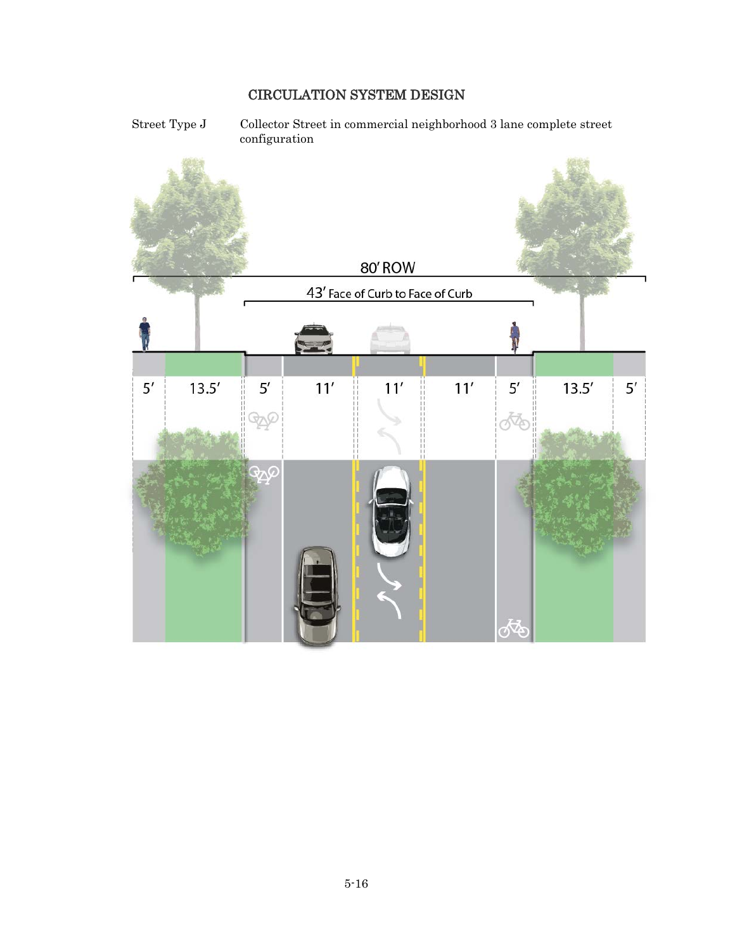Street Type J Collector Street in commercial neighborhood 3 lane complete street configuration

![](_page_15_Figure_2.jpeg)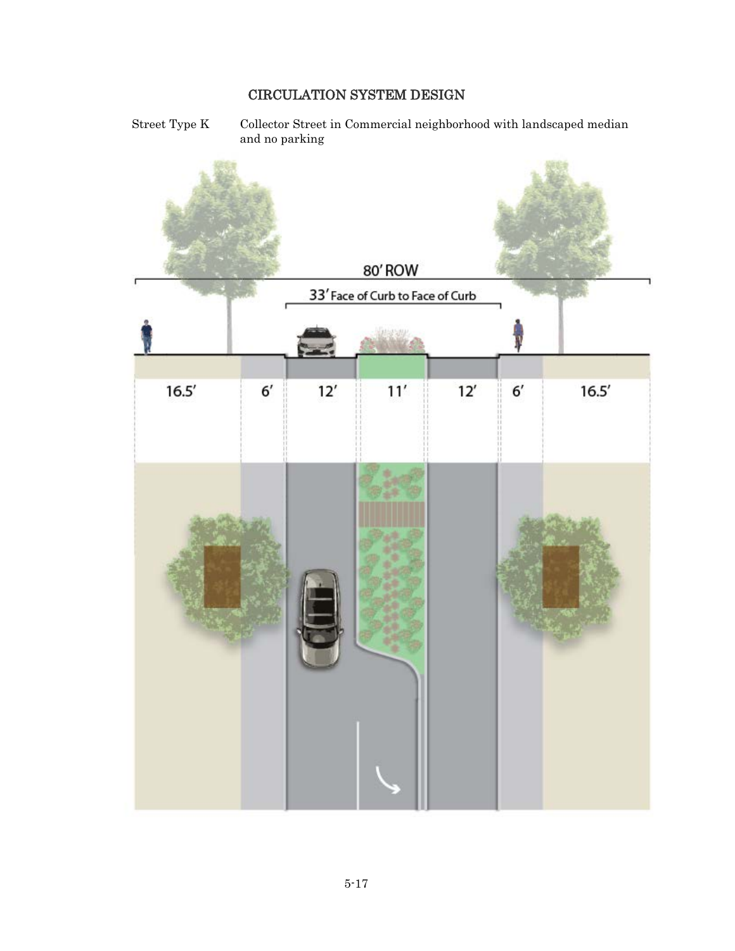Street Type K Collector Street in Commercial neighborhood with landscaped median and no parking

![](_page_16_Figure_2.jpeg)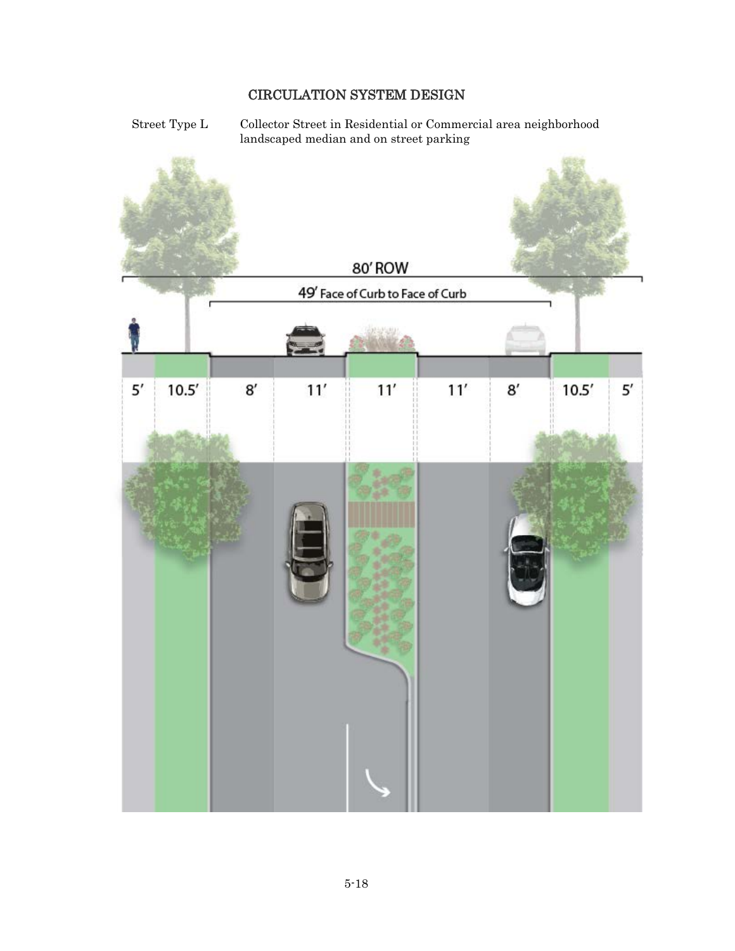Street Type L Collector Street in Residential or Commercial area neighborhood landscaped median and on street parking

![](_page_17_Picture_2.jpeg)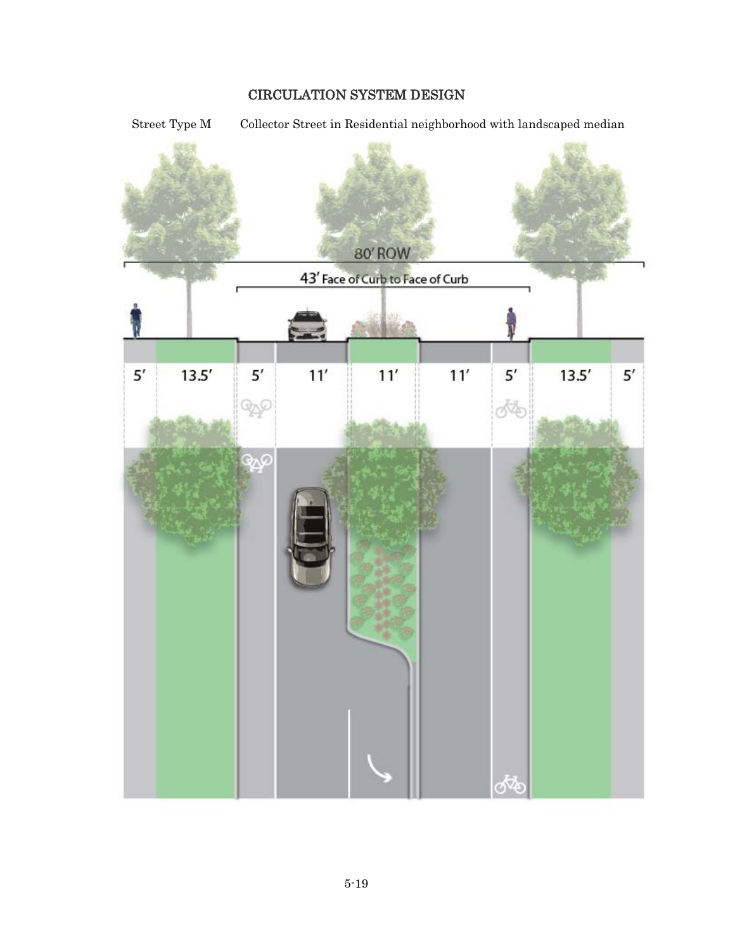Street Type M Collector Street in Residential neighborhood with landscaped median

![](_page_18_Figure_2.jpeg)